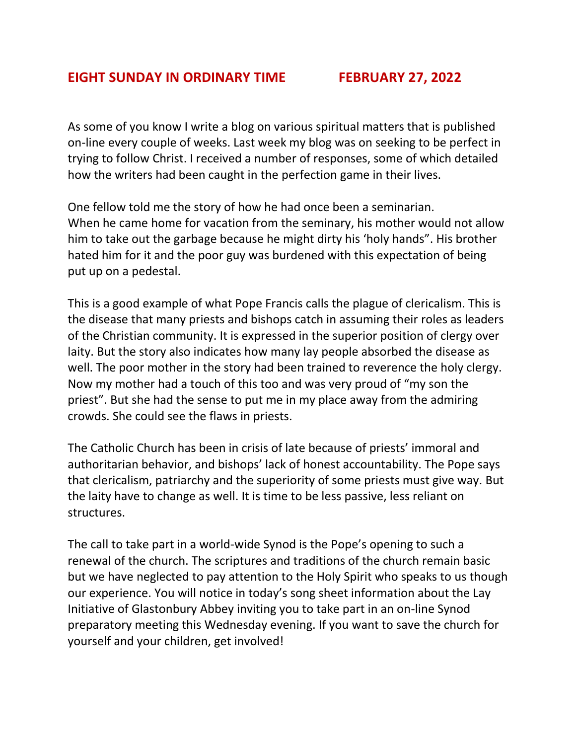## **EIGHT SUNDAY IN ORDINARY TIME FEBRUARY 27, 2022**

As some of you know I write a blog on various spiritual matters that is published on-line every couple of weeks. Last week my blog was on seeking to be perfect in trying to follow Christ. I received a number of responses, some of which detailed how the writers had been caught in the perfection game in their lives.

One fellow told me the story of how he had once been a seminarian. When he came home for vacation from the seminary, his mother would not allow him to take out the garbage because he might dirty his 'holy hands". His brother hated him for it and the poor guy was burdened with this expectation of being put up on a pedestal.

This is a good example of what Pope Francis calls the plague of clericalism. This is the disease that many priests and bishops catch in assuming their roles as leaders of the Christian community. It is expressed in the superior position of clergy over laity. But the story also indicates how many lay people absorbed the disease as well. The poor mother in the story had been trained to reverence the holy clergy. Now my mother had a touch of this too and was very proud of "my son the priest". But she had the sense to put me in my place away from the admiring crowds. She could see the flaws in priests.

The Catholic Church has been in crisis of late because of priests' immoral and authoritarian behavior, and bishops' lack of honest accountability. The Pope says that clericalism, patriarchy and the superiority of some priests must give way. But the laity have to change as well. It is time to be less passive, less reliant on structures.

The call to take part in a world-wide Synod is the Pope's opening to such a renewal of the church. The scriptures and traditions of the church remain basic but we have neglected to pay attention to the Holy Spirit who speaks to us though our experience. You will notice in today's song sheet information about the Lay Initiative of Glastonbury Abbey inviting you to take part in an on-line Synod preparatory meeting this Wednesday evening. If you want to save the church for yourself and your children, get involved!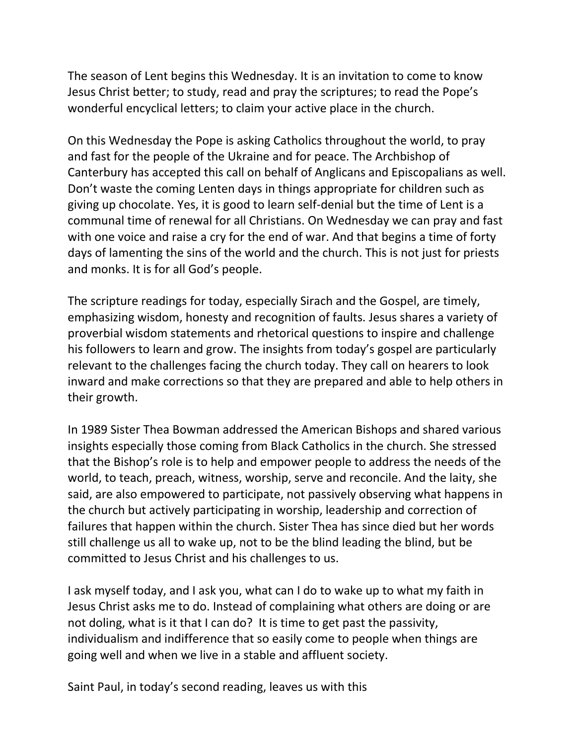The season of Lent begins this Wednesday. It is an invitation to come to know Jesus Christ better; to study, read and pray the scriptures; to read the Pope's wonderful encyclical letters; to claim your active place in the church.

On this Wednesday the Pope is asking Catholics throughout the world, to pray and fast for the people of the Ukraine and for peace. The Archbishop of Canterbury has accepted this call on behalf of Anglicans and Episcopalians as well. Don't waste the coming Lenten days in things appropriate for children such as giving up chocolate. Yes, it is good to learn self-denial but the time of Lent is a communal time of renewal for all Christians. On Wednesday we can pray and fast with one voice and raise a cry for the end of war. And that begins a time of forty days of lamenting the sins of the world and the church. This is not just for priests and monks. It is for all God's people.

The scripture readings for today, especially Sirach and the Gospel, are timely, emphasizing wisdom, honesty and recognition of faults. Jesus shares a variety of proverbial wisdom statements and rhetorical questions to inspire and challenge his followers to learn and grow. The insights from today's gospel are particularly relevant to the challenges facing the church today. They call on hearers to look inward and make corrections so that they are prepared and able to help others in their growth.

In 1989 Sister Thea Bowman addressed the American Bishops and shared various insights especially those coming from Black Catholics in the church. She stressed that the Bishop's role is to help and empower people to address the needs of the world, to teach, preach, witness, worship, serve and reconcile. And the laity, she said, are also empowered to participate, not passively observing what happens in the church but actively participating in worship, leadership and correction of failures that happen within the church. Sister Thea has since died but her words still challenge us all to wake up, not to be the blind leading the blind, but be committed to Jesus Christ and his challenges to us.

I ask myself today, and I ask you, what can I do to wake up to what my faith in Jesus Christ asks me to do. Instead of complaining what others are doing or are not doling, what is it that I can do? It is time to get past the passivity, individualism and indifference that so easily come to people when things are going well and when we live in a stable and affluent society.

Saint Paul, in today's second reading, leaves us with this